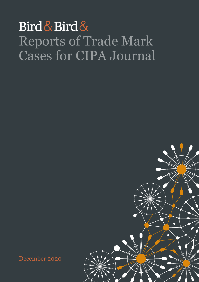## Bird & Bird & Reports of Trade Mark Cases for CIPA Journal

December 2020

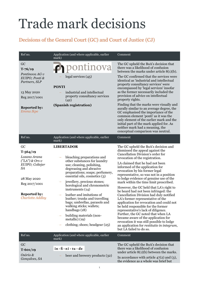## Trade mark decisions

## Decisions of the General Court (GC) and Court of Justice (CJ)

| Ref no.                                                                                                                                                                  | Application (and where applicable, earlier<br>mark)                                                                                                                                                                                                                                                                                                                                                                                                                                                                              | Comment                                                                                                                                                                                                                                                                                                                                                                                                                                                                                                                                                                                                                                                                                                                                                                                                                                                                                  |
|--------------------------------------------------------------------------------------------------------------------------------------------------------------------------|----------------------------------------------------------------------------------------------------------------------------------------------------------------------------------------------------------------------------------------------------------------------------------------------------------------------------------------------------------------------------------------------------------------------------------------------------------------------------------------------------------------------------------|------------------------------------------------------------------------------------------------------------------------------------------------------------------------------------------------------------------------------------------------------------------------------------------------------------------------------------------------------------------------------------------------------------------------------------------------------------------------------------------------------------------------------------------------------------------------------------------------------------------------------------------------------------------------------------------------------------------------------------------------------------------------------------------------------------------------------------------------------------------------------------------|
| GC<br>$T - 76/19$                                                                                                                                                        | $\phi$ pontinova                                                                                                                                                                                                                                                                                                                                                                                                                                                                                                                 | The GC upheld the BoA's decision that<br>there was a likelihood of confusion<br>between the marks under article $8(1)(b)$ .                                                                                                                                                                                                                                                                                                                                                                                                                                                                                                                                                                                                                                                                                                                                                              |
| Pontinova AG v<br>EUIPO; Ponti &<br>Partners, SLP                                                                                                                        | legal services (45)<br><b>PONTI</b>                                                                                                                                                                                                                                                                                                                                                                                                                                                                                              | The GC confirmed that the services were<br>identical as 'industrial and intellectual<br>property consultancy services' were<br>encompassed by 'legal services' insofar                                                                                                                                                                                                                                                                                                                                                                                                                                                                                                                                                                                                                                                                                                                   |
| 13 May 2020<br>Reg 2017/1001                                                                                                                                             | industrial and intellectual<br>property consultancy services<br>(42)                                                                                                                                                                                                                                                                                                                                                                                                                                                             | as the former necessarily included the<br>provision of advice on intellectual<br>property rights.                                                                                                                                                                                                                                                                                                                                                                                                                                                                                                                                                                                                                                                                                                                                                                                        |
| <b>Reported by:</b><br>Emma Ikpe                                                                                                                                         | (Spanish registration)                                                                                                                                                                                                                                                                                                                                                                                                                                                                                                           | Finding that the marks were visually and<br>aurally similar to an average degree, the<br>GC emphasised the importance of the<br>common element 'ponti' as it was the<br>only element of the earlier mark and the<br>initial part of the mark applied for. As<br>neither mark had a meaning, the<br>conceptual comparison was neutral.                                                                                                                                                                                                                                                                                                                                                                                                                                                                                                                                                    |
| Ref no.                                                                                                                                                                  | Application (and where applicable, earlier<br>mark)                                                                                                                                                                                                                                                                                                                                                                                                                                                                              | Comment                                                                                                                                                                                                                                                                                                                                                                                                                                                                                                                                                                                                                                                                                                                                                                                                                                                                                  |
| GC<br>$T - 564/19$<br>Lozano Arana<br>$("LA")$ & Ors v<br>EUIPO; Coltejer<br><i>SA</i><br>28 May 2020<br>Reg 2017/1001<br><b>Reported by:</b><br><b>Charlotte Addley</b> | <b>LIBERTADOR</b><br>bleaching preparations and<br>other substances for laundry<br>use; cleaning, polishing,<br>degreasing and abrasive<br>preparations; soaps; perfumery,<br>essential oils, cosmetics (3)<br>jewellery, precious stones;<br>horological and chronometric<br>instruments $(14)$<br>leather and imitations of<br>leather; trunks and travelling<br>bags; umbrellas, parasols and<br>walking sticks; wallets;<br>handbags $(18)$<br>building materials (non-<br>metallic $(19)$<br>clothing; shoes; headgear (25) | The GC upheld the BoA's decision and<br>dismissed the appeal against the<br>Cancellation Division's order for<br>revocation of the registration.<br>LA claimed that he had not been<br>informed of the application for<br>revocation by his former legal<br>representative, so was not in a position<br>to lodge evidence of genuine use of the<br>mark within the time limit prescribed.<br>However, the GC held that LA's right to<br>be heard had not been infringed: the<br>Cancellation Division had duly notified<br>LA's former representative of the<br>application for revocation and could not<br>be held responsible for the former<br>representative's lack of diligence.<br>Further, the GC noted that when LA<br>became aware of the application for<br>revocation it was still possible to lodge<br>an application for restitutio in integrum,<br>but LA failed to do so. |
| Ref no.                                                                                                                                                                  | Application (and where applicable, earlier<br>mark)                                                                                                                                                                                                                                                                                                                                                                                                                                                                              | Comment                                                                                                                                                                                                                                                                                                                                                                                                                                                                                                                                                                                                                                                                                                                                                                                                                                                                                  |
| GC<br>$T-601/19$<br>Osório &<br>Gonçalves, SA                                                                                                                            | in . fi . ni . tu . de<br>beer and brewery products (32)                                                                                                                                                                                                                                                                                                                                                                                                                                                                         | The GC upheld the BoA's decision that<br>there was a likelihood of confusion<br>under article $8(1)(b)$ between the marks.<br>In accordance with article $47(2)$ and (3),<br>the evidence as a whole was brief but                                                                                                                                                                                                                                                                                                                                                                                                                                                                                                                                                                                                                                                                       |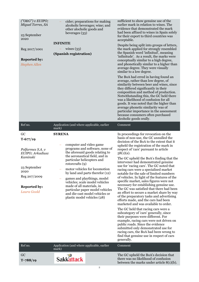| $('O&G")$ v EUIPO;<br>Miguel Torres, SA<br>23 September<br>2020<br>Reg 2017/1001<br><b>Reported by:</b><br><b>Stephen Allen</b>                    | cider; preparations for making<br>alcoholic beverages; wine; and<br>other alocholic goods and<br>beverages (33)<br><b>INFINITE</b><br>wines $(33)$<br>(Spanish registration)                                                                                                                                                                                                                                                                                             | sufficient to show genuine use of the<br>earlier mark in relation to wines. The<br>evidence that demonstrated the mark<br>had been affixed to wines in Spain solely<br>for their export to third countries was<br>acceptable.<br>Despite being split into groups of letters,<br>the mark applied for strongly resembled<br>the Spanish word 'infinitud', meaning<br>'infinitude'. As a result, the marks were<br>conceptually similar to a high degree,<br>and phonetically similar to a higher than<br>average degree. They were visually<br>similar to a low degree.<br>The BoA had erred in having found an<br>average, rather than low degree, of<br>similarity between beer and wines, since<br>they differed significantly in their<br>composition and method of production.<br>Notwithstanding this, the GC held there<br>was a likelihood of confusion for all<br>goods. It was noted that the higher than<br>average phonetic similarity was of<br>particular importance in the assessment<br>because consumers often purchased<br>alcoholic goods orally.                                                                                         |
|----------------------------------------------------------------------------------------------------------------------------------------------------|--------------------------------------------------------------------------------------------------------------------------------------------------------------------------------------------------------------------------------------------------------------------------------------------------------------------------------------------------------------------------------------------------------------------------------------------------------------------------|-------------------------------------------------------------------------------------------------------------------------------------------------------------------------------------------------------------------------------------------------------------------------------------------------------------------------------------------------------------------------------------------------------------------------------------------------------------------------------------------------------------------------------------------------------------------------------------------------------------------------------------------------------------------------------------------------------------------------------------------------------------------------------------------------------------------------------------------------------------------------------------------------------------------------------------------------------------------------------------------------------------------------------------------------------------------------------------------------------------------------------------------------------------|
| Ref no.                                                                                                                                            | Application (and where applicable, earlier<br>mark)                                                                                                                                                                                                                                                                                                                                                                                                                      | Comment                                                                                                                                                                                                                                                                                                                                                                                                                                                                                                                                                                                                                                                                                                                                                                                                                                                                                                                                                                                                                                                                                                                                                     |
| GC<br>$T-677/19$<br>Polfarmex S.A. v<br>EUIPO; Arkadiusz<br>Kaminski<br>23 September<br>2020<br>Reg 207/2009<br><b>Reported by:</b><br>Laura Goold | <b>SYRENA</b><br>computer and video game<br>programs and software, none of<br>the aforesaid goods relating to<br>the aeronautical field, and in<br>particular helicopters and<br>rotorcrafts $(9)$<br>motor vehicles for locomotion<br>by land and parts therefor (12)<br>games and playthings, model<br>vehicles; scale model vehicles<br>made of all materials, in<br>particular paper model vehicles<br>and die-cast model vehicles or<br>plastic model vehicles (28) | In proceedings for revocation on the<br>basis of non-use, the GC annulled the<br>decision of the BoA to the extent that it<br>upheld the registration of the mark in<br>respect of 'cars' pursuant to article<br>$58(1)(a)$ .<br>The GC upheld the BoA's finding that the<br>intervener had demonstrated genuine<br>use for 'racing cars'. The GC noted that<br>racing cars were a specialised market<br>notable for the sale of limited numbers<br>of vehicles. In light of the features of the<br>specific market, sales figures were not<br>necessary for establishing genuine use.<br>The GC was satisfied that there had been<br>an effort to secure a market share by way<br>of the preparatory tasks and advertising<br>efforts made, and the cars had been<br>marketed and was available to order.<br>The GC held that racing cars were a<br>subcategory of 'cars' generally, since<br>their purposes were different. For<br>example, racing cars were not driven on<br>public roads. Since the evidence<br>submitted only demonstrated use for<br>racing cars, the BoA had been wrong to<br>find that genuine use in respect of cars<br>generally. |
| Ref no.                                                                                                                                            | Application (and where applicable, earlier<br>mark)                                                                                                                                                                                                                                                                                                                                                                                                                      | Comment                                                                                                                                                                                                                                                                                                                                                                                                                                                                                                                                                                                                                                                                                                                                                                                                                                                                                                                                                                                                                                                                                                                                                     |
| GC<br>$T - 788/19$                                                                                                                                 | <b>Sakkattack</b>                                                                                                                                                                                                                                                                                                                                                                                                                                                        | The GC upheld the BoA's decision that<br>there was no likelihood of confusion<br>between the marks under article $8(1)(b)$ .                                                                                                                                                                                                                                                                                                                                                                                                                                                                                                                                                                                                                                                                                                                                                                                                                                                                                                                                                                                                                                |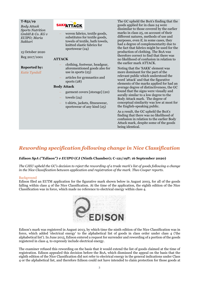#### **T-851/19**

*Body Attack Sports Nutrition GmbH & Co. KG v EUIPO; Maria Sakkari*

15 October 2020 Reg 2017/1001

#### **Reported by:**

*Katie Tyndall*

## **SAKKATTACK**

− woven fabrics, textile goods, substitutes for textile goods, towels of textile, bath towels, knitted elastic fabrics for sportswear (24)

#### **ATTACK**

- − clothing, footwear, headgear, aforementioned goods also for use in sports (25)
- − articles for gymnastics and sports (28)

#### **Body Attack**

- − garment covers [storage] (20)
- $t$ owels  $(24)$
- − t-shirts, jackets, fitnesswear, sportswear of any kind (25)

The GC upheld the BoA's finding that the goods applied for in class 24 were dissimilar to those covered by the earlier marks in class 25, on account of their different natures, methods of use and purposes, even if, in some cases, they had a degree of complementarity due to the fact that fabrics might be used for the production of clothing. The BoA was therefore correct to find that there was no likelihood of confusion in relation to the earlier mark ATTACK.

Noting that the 'SAKK' element was more dominant for the part of the relevant public which understood the word 'attack' and that the figurative elements of the marks applied for had an average degree of distinctiveness, the GC found that the signs were visually and aurally similar to a low degree to the Body Attack mark. The degree of conceptual similarity was low at most for the English-speaking public.

As a result, the GC upheld the BoA's finding that there was no likelihood of confusion in relation to the earlier Body Attack mark, despite some of the goods being identical.

## *Rewording specification following change in Nice Classification*

#### *Edison SpA ("Edison") v EUIPO* **(CJ (Ninth Chamber); C-121/19P; 16 September 2020)**

*The CJEU upheld the GC's decision to reject the rewording of a trade mark's list of goods following a change in the Nice Classification between application and registration of the mark. Theo Cooper reports.*

#### Background

Edison filed an EUTM application for the figurative mark shown below in August 2003, for all of the goods falling within class 4 of the Nice Classification. At the time of the application, the eighth edition of the Nice Classification was in force, which made no reference to electrical energy within class 4.



Edison's mark was registered in August 2013, by which time the ninth edition of the Nice Classification was in force, which added 'electrical energy' to the alphabetical list of goods in class order under class 4 ('the alphabetical list'). In June 2015, Edison entered a request for surrender and rewording of a portion of the goods registered in class 4, to expressly include electrical energy.

The examiner refused this rewording on the basis that it would extend the list of goods claimed at the time of registration. Edison appealed this decision before the BoA, which dismissed the appeal on the basis that the eighth edition of the Nice Classification did not refer to electrical energy in the general indications under Class 4 or the alphabetical list, and therefore Edison could not have intended to claim protection for those goods at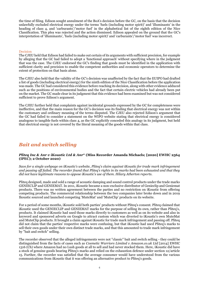the time of filing. Edison sought annulment of the BoA's decision before the GC, on the basis that the decision unlawfully excluded electrical energy under the terms 'fuels (including motor spirit)' and 'illuminants' in the heading of class 4, and 'carburants'/'motor fuel' in the alphabetical list of the eighth edition of the Nice Classification. This plea was rejected and the action dismissed. Edison appealed on the ground that the GC's interpretation of 'illuminants', 'fuels (including motor spirit)' and 'carburants'/'motor fuel' was incorrect.

#### Decision

The CJEU held that Edison had failed to make out certain of its arguments with sufficient precision, for example by alleging that the GC had failed to adopt a 'functional approach' without specifying where in the judgment that was the case. The CJEU endorsed the GC's finding that goods must be identified in the application with sufficient clarity and precision to enable the competent authorities and economic operators to determine the extent of protection on that basis alone.

The CJEU also held that the validity of the GC's decision was unaffected by the fact that the EUIPO had drafted a list of goods (including electrical energy) for the ninth edition of the Nice Classification before the application was made. The GC had considered this evidence before reaching its decision, along with other evidence adduced such as the positions of environmental bodies and the fact that certain electric vehicles had already been put on the market. The GC made clear in its judgment that this evidence had been examined but was not considered sufficient to prove Edison's argument.

The CJEU further held that complaints against incidental grounds expressed by the GC for completeness were ineffective, and that the main reason for the GC's decision was its finding that electrical energy was not within the customary and ordinary meaning of the terms disputed. The CJEU also rejected Edison's argument that the GC had failed to consider a statement on the WIPO website stating that electrical energy is considered analogous to tangible fuels within class 4, as the GC explicitly conceded this analogy in its judgment, but held that electrical energy is not covered by the literal meaning of the goods within that class.

## *Bait and switch selling*

#### *Pliteq Inc & Anr v iKoustic Ltd & Anr***\* (Miss Recorder Amanda Michaels; [2020] EWHC 2564 (IPEC); 2 October 2020)**

*Save for a single webpage on iKoustic's website, Pliteq's claim against iKoustic for trade mark infringement and passing off failed. The recorder found that Pliteq's rights in its marks had been exhausted and that they did not have legitimate reasons to oppose iKoustic's use of them. Hilary Atherton reports.* 

Pliteq designed, made and sold a range of acoustic damping and sound control products under the trade marks GENIECLIP and GENIEMAT. In 2011, iKoustic became a non-exclusive distributor of Genieclip and Geniemat products. There was no written agreement between the parties and no restriction on iKoustic from offering competing products. The commercial relationship between the two companies later broke down and in 2019 Ikoustic sourced and launched competing 'MuteMat' and 'MuteClip' products on its website.

For a period of some months, iKoustic sold both parties' products without Pliteq's consent. Pliteq claimed that iKoustic used the GENIECLIP and GENIEMAT marks for the purpose of selling its own, rather than Pliteq's, products. It claimed iKoustic had used those marks directly to customers as well as on its website and also in keyword and sponsored adverts on Google to attract custom which was diverted to iKoustic's own MuteMat and MuteClip products. It brought a claim against iKoustic for trade mark infringement and passing off. Pliteq did not claim that the parties' respective marks were confusing, but that iKoustic had used Pliteq's marks to sell their own goods under their own distinct trade marks, and that this amounted to trade mark infringement by "bait and switch" selling.

The recorder observed that the alleged infringements were not "classic" bait and switch selling - they could be distinguished from the facts of cases such as *Cosmetic Warriors Limited v Amazon.co.uk Ltd* [2014] EWHC 1316 (Ch) where Amazon had no Lush goods at all to sell and had never stocked them. Here, iKoustic did have a stock of genuine goods bearing Pliteq's marks and relied on the exhaustion defence under section 12/article 15. Further, the recorder was satisfied that the average consumer would have understood from the various communications from iKoustic that it was offering an alternative product to Pliteq's goods.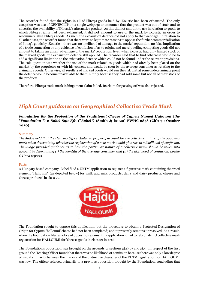The recorder found that the rights in all of Pliteq's goods held by iKoustic had been exhausted. The only exception was use of GENIECLIP on a single webpage to announce that the product was out of stock and to advertise the availability of iKoustic's alternative product. As this did not amount to use in relation to goods to which Pliteq's rights had been exhausted, it did not amount to use of the mark by iKoustic in order to recommercialise Pliteq's goods. As such, the exhaustion defence did not apply to that webpage. In relation to all other uses, the recorder found that there were no legitimate reasons to oppose the further commercialisation of Pliteq's goods by iKoustic – there was no likelihood of damage to the marks' reputation, no false implication of a trade connection or any evidence of confusion of as to origin, and merely selling competing goods did not amount to taking an unfair advantage of the marks' reputation. Even when iKoustic had only limited stock of the marked goods, the exhaustion defence still applied. The recorder said that to find otherwise would be to add a significant limitation to the exhaustion defence which could not be found under the relevant provisions. The sole question was whether the use of the mark related to goods which had already been placed on the market by the proprietor or with his consent and would be seen by the average consumer as relating to the claimant's goods. Otherwise, all resellers of marked goods would run the risk that at some indeterminate point the defence would become unavailable to them, simply because they had sold some but not all of their stock of the products.

Therefore, Pliteq's trade mark infringement claim failed. Its claim for passing off was also rejected.

## *High Court guidance on Geographical Collective Trade Mark*

*Foundation for the Protection of the Traditional Cheese of Cyprus Named Halloumi (the*  **"***Foundation* **"***) v Babel Sajt Kft. ("Babel")* **(Smith J; [2020] EWHC 2858 (Ch); 30 October 2020)**

#### Summary

*The Judge held that the Hearing Officer failed to properly account for the collective nature of the opposing mark when determining whether the registration of a new mark would give rise to a likelihood of confusion. The Judge provided guidance as to how the particular nature of a collective mark should be taken into account in determining (i) the identity of the average consumer and (ii) the likelihood of confusion. Louise O'Hara reports.*

#### Facts

A Hungary based company, Babel filed a UKTM application to register a figurative mark containing the word element "Halloumi" (as depicted below) for 'milk and milk products; dairy and dairy products; cheese and cheese products' in class 29.



The Foundation sought to oppose this application, but the procedure to obtain a Protected Designation of Origin for Cyprus' 'halloumi' cheese had not been completed; and it presently remains unresolved. As a result, when the Foundation filed a notice of opposition against this application it had to rely on its EU collective mark registration for HALLOUMI for 'cheese' goods in class 29 instead.

The Foundation's opposition was brought on the grounds of sections  $5(2)(b)$  and  $5(3)$ . In respect of the first ground the Hearing Officer found that there was no likelihood of confusion because there was only a low degree of visual similarity between the marks and the distinctive character of the EUTM registration for HALLOUMI was low. The officer referred primarily to a previous opposition brought by the Foundation, concluding that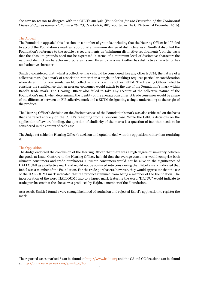she saw no reason to disagree with the CJEU's analysis (*Foundation for the Protection of the Traditional Cheese of Cyprus named Halloumi v EUIPO,* Case C-766/18P, reported in The CIPA Journal December 2019).

#### The Appeal

The Foundation appealed this decision on a number of grounds, including that the Hearing Officer had "failed to accord the Foundation's mark an appropriate minimum degree of distinctiveness". Smith J disputed the Foundation's reference to the Article 7's requirements as "minimum distinctive requirements", on the basis that the absolute grounds need not be expressed in terms of a minimum level of distinctive character; the nature of distinctive character incorporates its own threshold – a mark either has distinctive character or has no distinctive character.

Smith J considered that, whilst a collective mark should be considered like any other EUTM, the nature of a collective mark (as a mark of association rather than a single undertaking) requires particular consideration when determining how similar an EU collective mark is with another EUTM. The Hearing Officer failed to consider the significance that an average consumer would attach to the use of the Foundation's mark within Babel's trade mark. The Hearing Officer also failed to take any account of the collective nature of the Foundation's mark when determining the identity of the average consumer. A trade consumer would be aware of the difference between an EU collective mark and a EUTM designating a single undertaking as the origin of the product.

The Hearing Officer's decision on the distinctiveness of the Foundation's mark was also criticised on the basis that she relied entirely on the CJEU's reasoning from a previous case. While the CJEU's decisions on the application of law are binding, the question of similarity of the marks is a question of fact that needs to be considered in the context of each case.

The Judge set aside the Hearing Officer's decision and opted to deal with the opposition rather than remitting it.

#### The Opposition

The Judge endorsed the conclusion of the Hearing Officer that there was a high degree of similarity between the goods at issue. Contrary to the Hearing Officer, he held that the average consumer would comprise both ultimate consumers and trade purchasers. Ultimate consumers would not be alive to the significance of HALLOUMI as a collective mark and would not be confused into considering that Babel's mark indicated that Babel was a member of the Foundation. For the trade purchasers, however, they would appreciate that the use of the HALLOUMI mark indicated that the product stemmed from being a member of the Foundation. The incorporation of the word HALLOUMI into to a larger mark featuring the word "HAJDU" would indicate to trade purchasers that the cheese was produced by Hajdu, a member of the Foundation.

As a result, Smith J found a very strong likelihood of confusion and rejected Babel's application to register the mark.